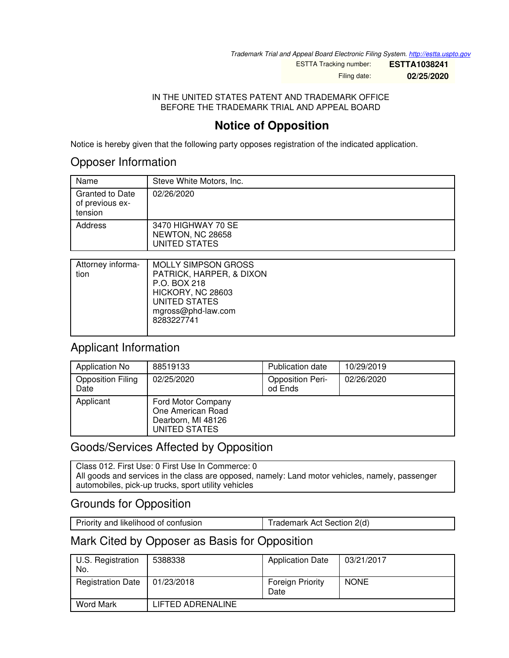*Trademark Trial and Appeal Board Electronic Filing System. <http://estta.uspto.gov>*

ESTTA Tracking number: **ESTTA1038241** Filing date: **02/25/2020**

IN THE UNITED STATES PATENT AND TRADEMARK OFFICE BEFORE THE TRADEMARK TRIAL AND APPEAL BOARD

# **Notice of Opposition**

Notice is hereby given that the following party opposes registration of the indicated application.

### Opposer Information

| Name                                                 | Steve White Motors, Inc.                                |
|------------------------------------------------------|---------------------------------------------------------|
| <b>Granted to Date</b><br>of previous ex-<br>tension | 02/26/2020                                              |
| Address                                              | 3470 HIGHWAY 70 SE<br>NEWTON, NC 28658<br>UNITED STATES |

| Attorney informa-<br>tion | <b>MOLLY SIMPSON GROSS</b><br>PATRICK, HARPER, & DIXON<br>P.O. BOX 218 |
|---------------------------|------------------------------------------------------------------------|
|                           | HICKORY, NC 28603<br>UNITED STATES<br>mgross@phd-law.com<br>8283227741 |

# Applicant Information

| Application No                   | 88519133                                                                       | Publication date                   | 10/29/2019 |
|----------------------------------|--------------------------------------------------------------------------------|------------------------------------|------------|
| <b>Opposition Filing</b><br>Date | 02/25/2020                                                                     | <b>Opposition Peri-</b><br>od Ends | 02/26/2020 |
| Applicant                        | Ford Motor Company<br>One American Road<br>Dearborn, MI 48126<br>UNITED STATES |                                    |            |

# Goods/Services Affected by Opposition

Class 012. First Use: 0 First Use In Commerce: 0 All goods and services in the class are opposed, namely: Land motor vehicles, namely, passenger automobiles, pick-up trucks, sport utility vehicles

# Grounds for Opposition

| Priority and likelihood of confusion | Trademark Act Section 2(d) |
|--------------------------------------|----------------------------|

# Mark Cited by Opposer as Basis for Opposition

| U.S. Registration<br>No. | 5388338           | <b>Application Date</b>         | 03/21/2017  |
|--------------------------|-------------------|---------------------------------|-------------|
| <b>Registration Date</b> | 01/23/2018        | <b>Foreign Priority</b><br>Date | <b>NONE</b> |
| <b>Word Mark</b>         | LIFTED ADRENALINE |                                 |             |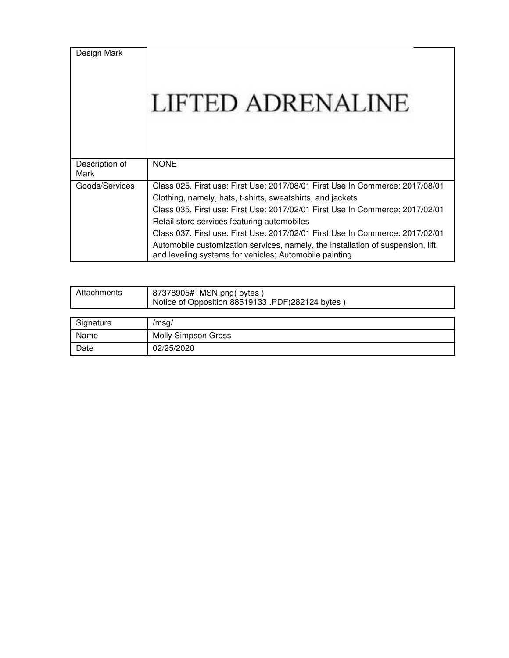| Design Mark            | LIFTED ADRENALINE                                                                                                                                                                                                                                                                                                                                                                                                                                                                                          |
|------------------------|------------------------------------------------------------------------------------------------------------------------------------------------------------------------------------------------------------------------------------------------------------------------------------------------------------------------------------------------------------------------------------------------------------------------------------------------------------------------------------------------------------|
| Description of<br>Mark | <b>NONE</b>                                                                                                                                                                                                                                                                                                                                                                                                                                                                                                |
| Goods/Services         | Class 025. First use: First Use: 2017/08/01 First Use In Commerce: 2017/08/01<br>Clothing, namely, hats, t-shirts, sweatshirts, and jackets<br>Class 035, First use: First Use: 2017/02/01 First Use In Commerce: 2017/02/01<br>Retail store services featuring automobiles<br>Class 037. First use: First Use: 2017/02/01 First Use In Commerce: 2017/02/01<br>Automobile customization services, namely, the installation of suspension, lift,<br>and leveling systems for vehicles; Automobile painting |

| Attachments | 87378905#TMSN.png(bytes)<br>Notice of Opposition 88519133 .PDF(282124 bytes) |
|-------------|------------------------------------------------------------------------------|
|             |                                                                              |
| Signature   | /msq/                                                                        |
| Name        | <b>Molly Simpson Gross</b>                                                   |
| Date        | 02/25/2020                                                                   |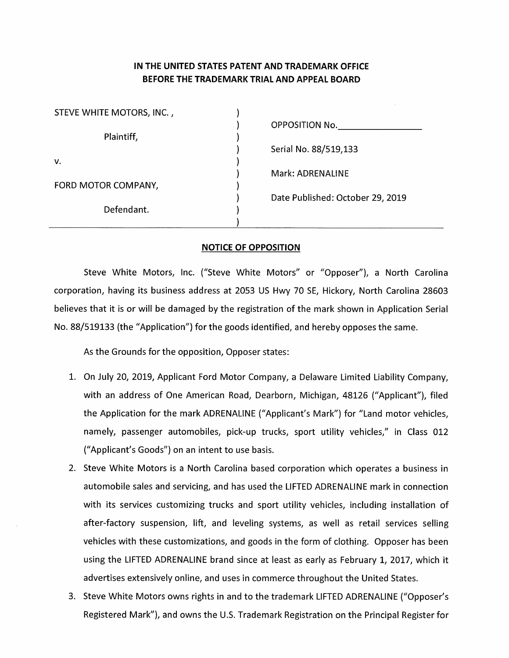#### IN THE UNITED STATES PATENT AND TRADEMARK OFFICE BEFORE THE TRADEMARK TRIAL AND APPEAL BOARD

| STEVE WHITE MOTORS, INC., |                                  |
|---------------------------|----------------------------------|
|                           | OPPOSITION No.                   |
| Plaintiff,                |                                  |
|                           | Serial No. 88/519,133            |
| v.                        |                                  |
|                           | Mark: ADRENALINE                 |
| FORD MOTOR COMPANY,       |                                  |
|                           | Date Published: October 29, 2019 |
| Defendant.                |                                  |
|                           |                                  |

#### **NOTICE OF OPPOSITION**

Steve White Motors, Inc. ("Steve White Motors" or "Opposer"), a North Carolina corporation, having its business address at 2053 US Hwy 70 SE, Hickory, North Carolina 28603 believes that it is or will be damaged by the registration of the mark shown in Application Serial No. 88/519133 (the "Application") for the goods identified, and hereby opposes the same.

As the Grounds for the opposition, Opposer states:

- 1. On July 20, 2019, Applicant Ford Motor Company, a Delaware Limited Liability Company, with an address of One American Road, Dearborn, Michigan, 48126 ("Applicant"), filed the Application for the mark ADRENALINE ("Applicant's Mark") for "Land motor vehicles, namely, passenger automobiles, pick-up trucks, sport utility vehicles," in Class 012 ("Applicant's Goods") on an intent to use basis.
- 2. Steve White Motors is a North Carolina based corporation which operates a business in automobile sales and servicing, and has used the LIFTED ADRENALINE mark in connection with its services customizing trucks and sport utility vehicles, including installation of after-factory suspension, lift, and leveling systems, as well as retail services selling vehicles with these customizations, and goods in the form of clothing. Opposer has been using the LIFTED ADRENALINE brand since at least as early as February 1, 2017, which it advertises extensively online, and uses in commerce throughout the United States.
- 3. Steve White Motors owns rights in and to the trademark LIFTED ADRENALINE ("Opposer's Registered Mark"), and owns the U.S. Trademark Registration on the Principal Register for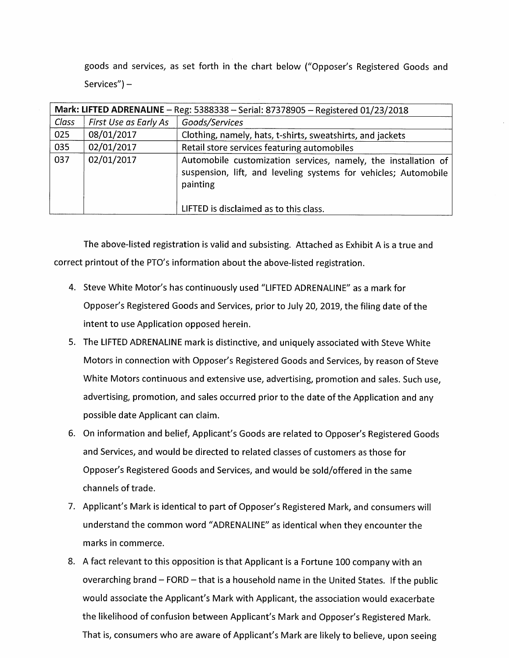goods and services, as set forth in the chart below ("Opposer's Registered Goods and  $Services''$ ) –

|       | Mark: LIFTED ADRENALINE - Reg: 5388338 - Serial: 87378905 - Registered 01/23/2018 |                                                                                                                                                                                         |  |
|-------|-----------------------------------------------------------------------------------|-----------------------------------------------------------------------------------------------------------------------------------------------------------------------------------------|--|
| Class | First Use as Early As                                                             | Goods/Services                                                                                                                                                                          |  |
| 025   | 08/01/2017                                                                        | Clothing, namely, hats, t-shirts, sweatshirts, and jackets                                                                                                                              |  |
| 035   | 02/01/2017                                                                        | Retail store services featuring automobiles                                                                                                                                             |  |
| 037   | 02/01/2017                                                                        | Automobile customization services, namely, the installation of<br>suspension, lift, and leveling systems for vehicles; Automobile<br>painting<br>LIFTED is disclaimed as to this class. |  |

The above-listed registration is valid and subsisting. Attached as Exhibit A is a true and correct printout of the PTO's information about the above-listed registration.

- 4. Steve White Motor's has continuously used "LIFTED ADRENALINE" as a mark for Opposer's Registered Goods and Services, prior to July 20, 2019, the filing date of the intent to use Application opposed herein.
- 5. The LIFTED ADRENALINE mark is distinctive, and uniquely associated with Steve White Motors in connection with Opposer's Registered Goods and Services, by reason of Steve White Motors continuous and extensive use, advertising, promotion and sales. Such use, advertising, promotion, and sales occurred prior to the date of the Application and any possible date Applicant can claim.
- 6. On information and belief, Applicant's Goods are related to Opposer's Registered Goods and Services, and would be directed to related classes of customers as those for Opposer's Registered Goods and Services, and would be sold/offered in the same channels of trade.
- 7. Applicant's Mark is identical to part of Opposer's Registered Mark, and consumers will understand the common word "ADRENALINE" as identical when they encounter the marks in commerce.
- 8. A fact relevant to this opposition is that Applicant is a Fortune 100 company with an overarching brand - FORD - that is a household name in the United States. If the public would associate the Applicant's Mark with Applicant, the association would exacerbate the likelihood of confusion between Applicant's Mark and Opposer's Registered Mark. That is, consumers who are aware of Applicant's Mark are likely to believe, upon seeing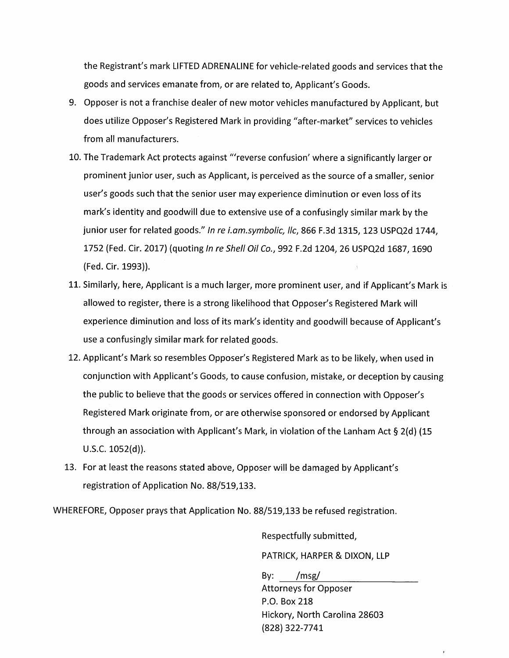the Registrant's mark LIFTED ADRENALINE for vehicle-related goods and services that the goods and services emanate from, or are related to, Applicant's Goods.

- 9. Opposer is not a franchise dealer of new motor vehicles manufactured by Applicant, but does utilize Opposer's Registered Mark in providing "after-market" services to vehicles from all manufacturers.
- 10. The Trademark Act protects against "'reverse confusion' where a significantly larger or prominent junior user, such as Applicant, is perceived as the source of a smaller, senior user's goods such that the senior user may experience diminution or even loss of its mark's identity and goodwill due to extensive use of a confusingly similar mark by the junior user for related goods." In re i.am.symbolic, llc, 866 F.3d 1315, 123 USPQ2d 1744, 1752 (Fed. Cir. 2017) (quoting In re Shell Oil Co., 992 F.2d 1204, 26 USPQ2d 1687, 1690 (Fed. Cir. 1993)).
- 11. Similarly, here, Applicant is a much larger, more prominent user, and if Applicant's Mark is allowed to register, there is a strong likelihood that Opposer's Registered Mark will experience diminution and loss of its mark's identity and goodwill because of Applicant's use a confusingly similar mark for related goods.
- 12. Applicant's Mark so resembles Opposer's Registered Mark as to be likely, when used in conjunction with Applicant's Goods, to cause confusion, mistake, or deception by causing the public to believe that the goods or services offered in connection with Opposer's Registered Mark originate from, or are otherwise sponsored or endorsed by Applicant through an association with Applicant's Mark, in violation of the Lanham Act § 2(d) (15  $U.S.C. 1052(d)).$
- 13. For at least the reasons stated above, Opposer will be damaged by Applicant's registration of Application No. 88/519,133.

WHEREFORE, Opposer prays that Application No. 88/519,133 be refused registration.

Respectfully submitted,

PATRICK, HARPER & DIXON, LLP

 $/msg/$ By: **Attorneys for Opposer** P.O. Box 218 Hickory, North Carolina 28603 (828) 322-7741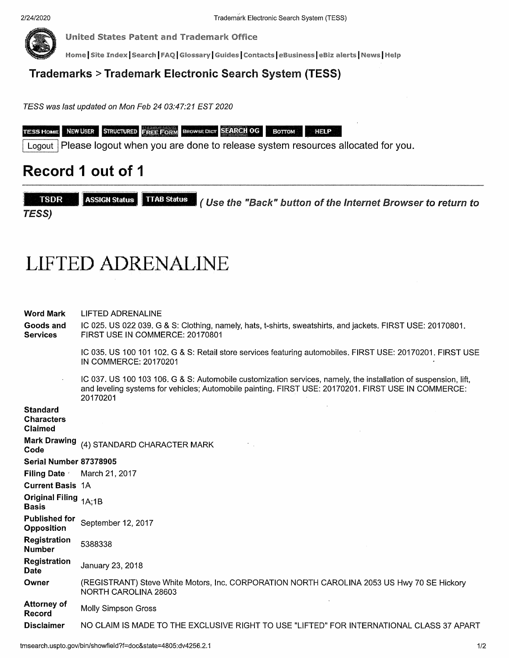

**United States Patent and Trademark Office** 

Home | Site Index | Search | FAQ | Glossary | Guides | Contacts | eBusiness | eBiz alerts | News | Help

# **Trademarks > Trademark Electronic Search System (TESS)**

TESS was last updated on Mon Feb 24 03:47:21 EST 2020

| <b>TESS HOM</b><br>ть | I NEW USER | <b>STRUCTURED</b> | <b>I Frida Form</b> |  | <b>ERCWSE DICT SEARCH OG</b> |  |  |
|-----------------------|------------|-------------------|---------------------|--|------------------------------|--|--|
|-----------------------|------------|-------------------|---------------------|--|------------------------------|--|--|

Logout | Please logout when you are done to release system resources allocated for you.

# Record 1 out of 1

**TSDR ASSIGN Status TTAB Status** (Use the "Back" button of the Internet Browser to return to **TESS)** 

# **LIFTED ADRENALINE**

| Word Mark<br>Goods and<br><b>Services</b>              | LIFTED ADRENALINE<br>IC 025. US 022 039. G & S: Clothing, namely, hats, t-shirts, sweatshirts, and jackets. FIRST USE: 20170801.<br>FIRST USE IN COMMERCE: 20170801                                                                |
|--------------------------------------------------------|------------------------------------------------------------------------------------------------------------------------------------------------------------------------------------------------------------------------------------|
|                                                        | IC 035, US 100 101 102, G & S: Retail store services featuring automobiles. FIRST USE: 20170201, FIRST USE<br>IN COMMERCE: 20170201                                                                                                |
|                                                        | IC 037. US 100 103 106. G & S: Automobile customization services, namely, the installation of suspension, lift,<br>and leveling systems for vehicles; Automobile painting. FIRST USE: 20170201. FIRST USE IN COMMERCE:<br>20170201 |
| <b>Standard</b><br><b>Characters</b><br><b>Claimed</b> |                                                                                                                                                                                                                                    |
| <b>Mark Drawing</b><br>Code                            | (4) STANDARD CHARACTER MARK                                                                                                                                                                                                        |
| Serial Number 87378905                                 |                                                                                                                                                                                                                                    |
| <b>Filing Date</b>                                     | March 21, 2017                                                                                                                                                                                                                     |
| <b>Current Basis 1A</b>                                |                                                                                                                                                                                                                                    |
| Original Filing <sub>1A;1B</sub><br><b>Basis</b>       |                                                                                                                                                                                                                                    |
| Published for<br><b>Opposition</b>                     | September 12, 2017                                                                                                                                                                                                                 |
| Registration<br>Number                                 | 5388338                                                                                                                                                                                                                            |
| <b>Registration</b><br>Date                            | January 23, 2018                                                                                                                                                                                                                   |
| Owner                                                  | (REGISTRANT) Steve White Motors, Inc. CORPORATION NORTH CAROLINA 2053 US Hwy 70 SE Hickory<br>NORTH CAROLINA 28603                                                                                                                 |
| Attorney of<br>Record                                  | <b>Molly Simpson Gross</b>                                                                                                                                                                                                         |
| <b>Disclaimer</b>                                      | NO CLAIM IS MADE TO THE EXCLUSIVE RIGHT TO USE "LIFTED" FOR INTERNATIONAL CLASS 37 APART                                                                                                                                           |